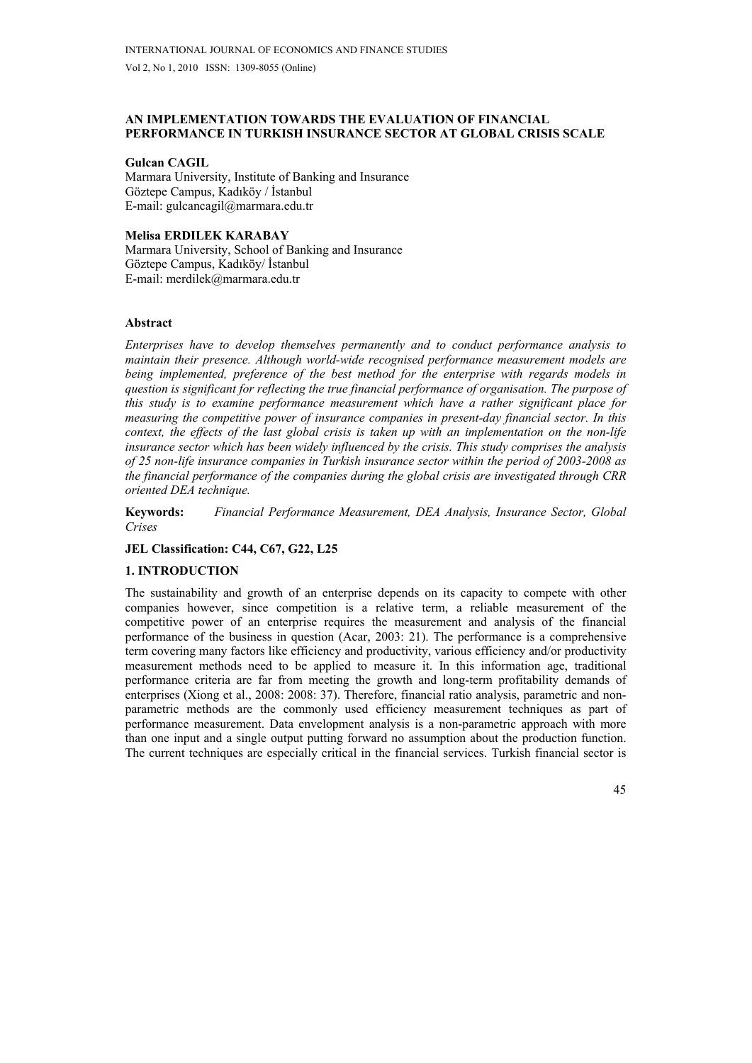# **AN IMPLEMENTATION TOWARDS THE EVALUATION OF FINANCIAL PERFORMANCE IN TURKISH INSURANCE SECTOR AT GLOBAL CRISIS SCALE**

### **Gulcan CAGIL**

Marmara University, Institute of Banking and Insurance Göztepe Campus, Kadıköy / İstanbul E-mail: gulcancagil@marmara.edu.tr

## **Melisa ERDILEK KARABAY**

Marmara University, School of Banking and Insurance Göztepe Campus, Kadıköy/ İstanbul E-mail: merdilek@marmara.edu.tr

## **Abstract**

*Enterprises have to develop themselves permanently and to conduct performance analysis to maintain their presence. Although world-wide recognised performance measurement models are being implemented, preference of the best method for the enterprise with regards models in question is significant for reflecting the true financial performance of organisation. The purpose of this study is to examine performance measurement which have a rather significant place for measuring the competitive power of insurance companies in present-day financial sector. In this context, the effects of the last global crisis is taken up with an implementation on the non-life insurance sector which has been widely influenced by the crisis. This study comprises the analysis of 25 non-life insurance companies in Turkish insurance sector within the period of 2003-2008 as the financial performance of the companies during the global crisis are investigated through CRR oriented DEA technique.* 

**Keywords:** *Financial Performance Measurement, DEA Analysis, Insurance Sector, Global Crises* 

## **JEL Classification: C44, C67, G22, L25**

### **1. INTRODUCTION**

The sustainability and growth of an enterprise depends on its capacity to compete with other companies however, since competition is a relative term, a reliable measurement of the competitive power of an enterprise requires the measurement and analysis of the financial performance of the business in question (Acar, 2003: 21). The performance is a comprehensive term covering many factors like efficiency and productivity, various efficiency and/or productivity measurement methods need to be applied to measure it. In this information age, traditional performance criteria are far from meeting the growth and long-term profitability demands of enterprises (Xiong et al., 2008: 2008: 37). Therefore, financial ratio analysis, parametric and nonparametric methods are the commonly used efficiency measurement techniques as part of performance measurement. Data envelopment analysis is a non-parametric approach with more than one input and a single output putting forward no assumption about the production function. The current techniques are especially critical in the financial services. Turkish financial sector is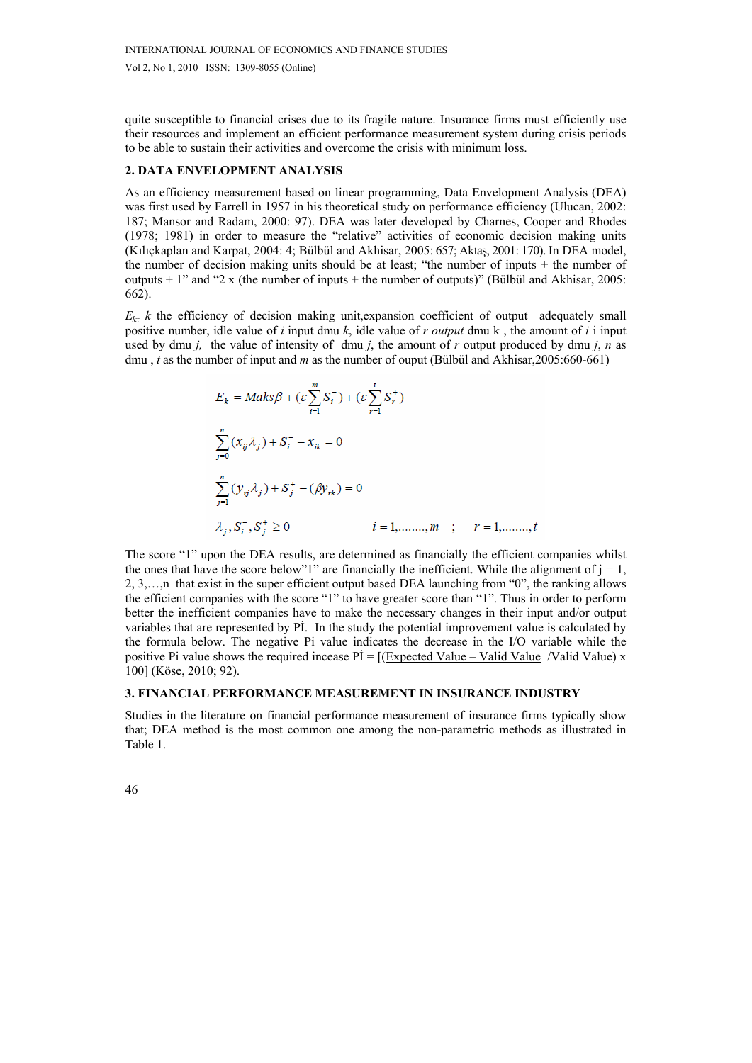quite susceptible to financial crises due to its fragile nature. Insurance firms must efficiently use their resources and implement an efficient performance measurement system during crisis periods to be able to sustain their activities and overcome the crisis with minimum loss.

### **2. DATA ENVELOPMENT ANALYSIS**

As an efficiency measurement based on linear programming, Data Envelopment Analysis (DEA) was first used by Farrell in 1957 in his theoretical study on performance efficiency (Ulucan, 2002: 187; Mansor and Radam, 2000: 97). DEA was later developed by Charnes, Cooper and Rhodes (1978; 1981) in order to measure the "relative" activities of economic decision making units (Kılıçkaplan and Karpat, 2004: 4; Bülbül and Akhisar, 2005: 657; Aktaş, 2001: 170). In DEA model, the number of decision making units should be at least; "the number of inputs  $+$  the number of outputs  $+ 1$ " and "2 x (the number of inputs  $+$  the number of outputs)" (Bülbül and Akhisar, 2005: 662).

 $E_k$ :: *k* the efficiency of decision making unit, expansion coefficient of output adequately small positive number, idle value of *i* input dmu *k*, idle value of *r output* dmu k , the amount of *i* i input used by dmu *j,* the value of intensity of dmu *j*, the amount of *r* output produced by dmu *j*, *n* as dmu , *t* as the number of input and *m* as the number of ouput (Bülbül and Akhisar,2005:660-661)

$$
E_k = Maks\beta + (\varepsilon \sum_{i=1}^m S_i^-) + (\varepsilon \sum_{r=1}^t S_r^+)
$$
  

$$
\sum_{j=0}^n (x_{ij}\lambda_j) + S_i^- - x_{ik} = 0
$$
  

$$
\sum_{j=1}^n (y_{ij}\lambda_j) + S_j^+ - (\beta y_{rk}) = 0
$$
  

$$
\lambda_i, S_i^-, S_i^+ \ge 0
$$
  
 $i = 1, \dots, m$ ;  $r = 1, \dots, t$ 

The score "1" upon the DEA results, are determined as financially the efficient companies whilst the ones that have the score below"1" are financially the inefficient. While the alignment of  $j = 1$ , 2, 3,…,n that exist in the super efficient output based DEA launching from "0", the ranking allows the efficient companies with the score "1" to have greater score than "1". Thus in order to perform better the inefficient companies have to make the necessary changes in their input and/or output variables that are represented by Pİ. In the study the potential improvement value is calculated by the formula below. The negative Pi value indicates the decrease in the I/O variable while the positive Pi value shows the required incease  $Pi = [(Expected Value - Value Value / Value) \times$ 100] (Köse, 2010; 92).

#### **3. FINANCIAL PERFORMANCE MEASUREMENT IN INSURANCE INDUSTRY**

Studies in the literature on financial performance measurement of insurance firms typically show that; DEA method is the most common one among the non-parametric methods as illustrated in Table 1.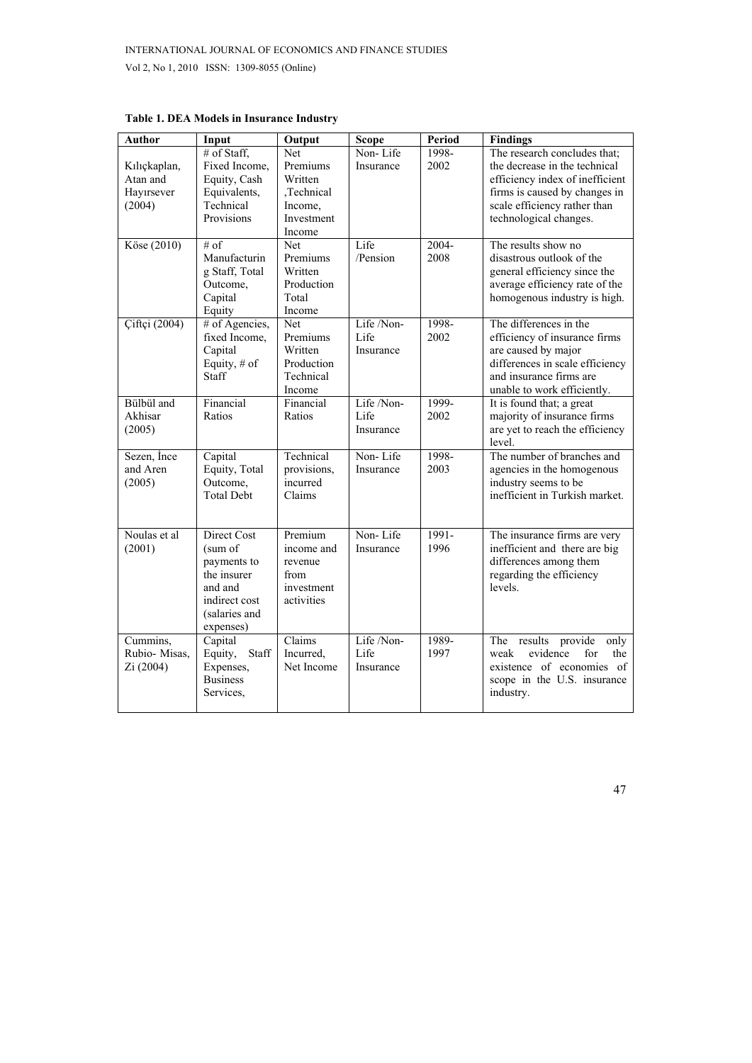| <b>Author</b>                                    | Input                                                                                                          | Output                                                                      | <b>Scope</b>                    | Period        | <b>Findings</b>                                                                                                                                                                             |
|--------------------------------------------------|----------------------------------------------------------------------------------------------------------------|-----------------------------------------------------------------------------|---------------------------------|---------------|---------------------------------------------------------------------------------------------------------------------------------------------------------------------------------------------|
| Kılıçkaplan,<br>Atan and<br>Hayırsever<br>(2004) | # of Staff,<br>Fixed Income,<br>Equity, Cash<br>Equivalents,<br>Technical<br>Provisions                        | Net<br>Premiums<br>Written<br>,Technical<br>Income,<br>Investment<br>Income | Non-Life<br>Insurance           | 1998-<br>2002 | The research concludes that;<br>the decrease in the technical<br>efficiency index of inefficient<br>firms is caused by changes in<br>scale efficiency rather than<br>technological changes. |
| Köse (2010)                                      | # of<br>Manufacturin<br>g Staff, Total<br>Outcome,<br>Capital<br>Equity                                        | Net<br>Premiums<br>Written<br>Production<br>Total<br>Income                 | Life<br>/Pension                | 2004-<br>2008 | The results show no<br>disastrous outlook of the<br>general efficiency since the<br>average efficiency rate of the<br>homogenous industry is high.                                          |
| <b>Ciftçi</b> (2004)                             | # of Agencies,<br>fixed Income,<br>Capital<br>Equity, # of<br>Staff                                            | <b>Net</b><br>Premiums<br>Written<br>Production<br>Technical<br>Income      | Life /Non-<br>Life<br>Insurance | 1998-<br>2002 | The differences in the<br>efficiency of insurance firms<br>are caused by major<br>differences in scale efficiency<br>and insurance firms are<br>unable to work efficiently.                 |
| Bülbül and<br>Akhisar<br>(2005)                  | Financial<br>Ratios                                                                                            | Financial<br>Ratios                                                         | Life /Non-<br>Life<br>Insurance | 1999-<br>2002 | It is found that; a great<br>majority of insurance firms<br>are yet to reach the efficiency<br>level.                                                                                       |
| Sezen, Ince<br>and Aren<br>(2005)                | Capital<br>Equity, Total<br>Outcome,<br><b>Total Debt</b>                                                      | Technical<br>provisions,<br>incurred<br>Claims                              | Non-Life<br>Insurance           | 1998-<br>2003 | The number of branches and<br>agencies in the homogenous<br>industry seems to be<br>inefficient in Turkish market.                                                                          |
| Noulas et al<br>(2001)                           | Direct Cost<br>(sum of<br>payments to<br>the insurer<br>and and<br>indirect cost<br>(salaries and<br>expenses) | Premium<br>income and<br>revenue<br>from<br>investment<br>activities        | Non-Life<br>Insurance           | 1991-<br>1996 | The insurance firms are very<br>inefficient and there are big<br>differences among them<br>regarding the efficiency<br>levels.                                                              |
| Cummins,<br>Rubio-Misas,<br>Zi (2004)            | Capital<br>Equity,<br>Staff<br>Expenses,<br><b>Business</b><br>Services,                                       | Claims<br>Incurred,<br>Net Income                                           | Life /Non-<br>Life<br>Insurance | 1989-<br>1997 | The results provide<br>only<br>evidence<br>for<br>the<br>weak<br>existence of economies<br><sub>of</sub><br>scope in the U.S. insurance<br>industry.                                        |

**Table 1. DEA Models in Insurance Industry**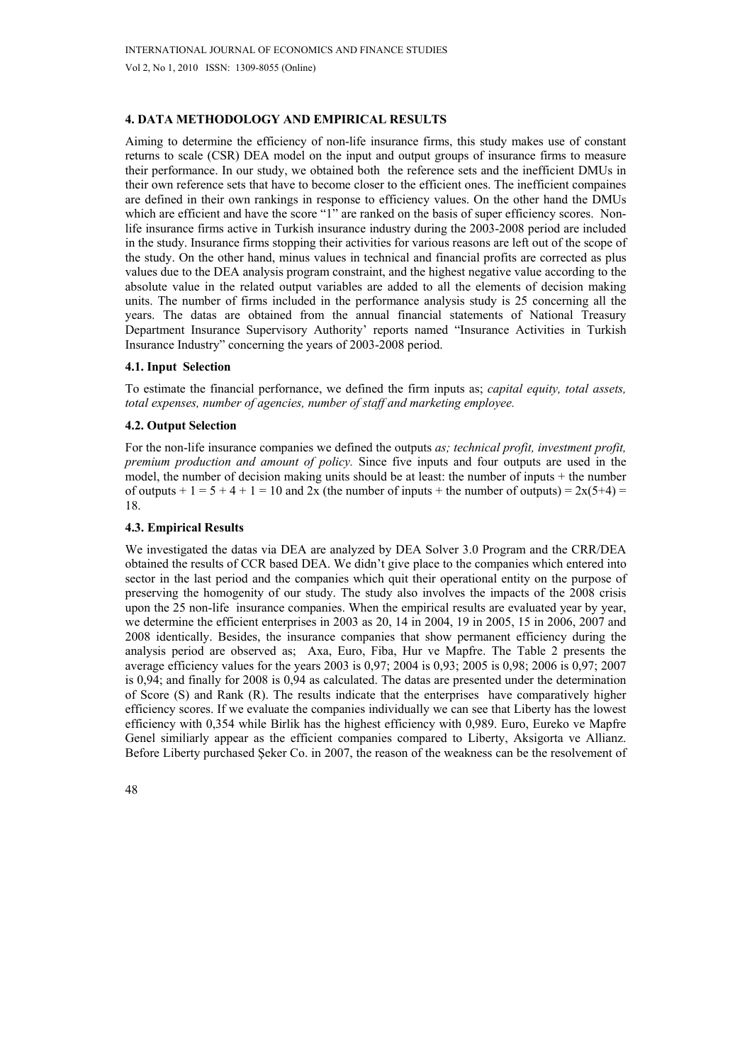# **4. DATA METHODOLOGY AND EMPIRICAL RESULTS**

Aiming to determine the efficiency of non-life insurance firms, this study makes use of constant returns to scale (CSR) DEA model on the input and output groups of insurance firms to measure their performance. In our study, we obtained both the reference sets and the inefficient DMUs in their own reference sets that have to become closer to the efficient ones. The inefficient compaines are defined in their own rankings in response to efficiency values. On the other hand the DMUs which are efficient and have the score "1" are ranked on the basis of super efficiency scores. Nonlife insurance firms active in Turkish insurance industry during the 2003-2008 period are included in the study. Insurance firms stopping their activities for various reasons are left out of the scope of the study. On the other hand, minus values in technical and financial profits are corrected as plus values due to the DEA analysis program constraint, and the highest negative value according to the absolute value in the related output variables are added to all the elements of decision making units. The number of firms included in the performance analysis study is 25 concerning all the years. The datas are obtained from the annual financial statements of National Treasury Department Insurance Supervisory Authority' reports named "Insurance Activities in Turkish Insurance Industry" concerning the years of 2003-2008 period.

## **4.1. Input Selection**

To estimate the financial perfornance, we defined the firm inputs as; *capital equity, total assets, total expenses, number of agencies, number of staff and marketing employee.* 

## **4.2. Output Selection**

For the non-life insurance companies we defined the outputs *as; technical profit, investment profit, premium production and amount of policy.* Since five inputs and four outputs are used in the model, the number of decision making units should be at least: the number of inputs + the number of outputs  $+ 1 = 5 + 4 + 1 = 10$  and 2x (the number of inputs  $+$  the number of outputs) = 2x(5+4) = 18.

## **4.3. Empirical Results**

We investigated the datas via DEA are analyzed by DEA Solver 3.0 Program and the CRR/DEA obtained the results of CCR based DEA. We didn't give place to the companies which entered into sector in the last period and the companies which quit their operational entity on the purpose of preserving the homogenity of our study. The study also involves the impacts of the 2008 crisis upon the 25 non-life insurance companies. When the empirical results are evaluated year by year, we determine the efficient enterprises in 2003 as 20, 14 in 2004, 19 in 2005, 15 in 2006, 2007 and 2008 identically. Besides, the insurance companies that show permanent efficiency during the analysis period are observed as; Axa, Euro, Fiba, Hur ve Mapfre. The Table 2 presents the average efficiency values for the years 2003 is 0,97; 2004 is 0,93; 2005 is 0,98; 2006 is 0,97; 2007 is 0,94; and finally for 2008 is 0,94 as calculated. The datas are presented under the determination of Score (S) and Rank (R). The results indicate that the enterprises have comparatively higher efficiency scores. If we evaluate the companies individually we can see that Liberty has the lowest efficiency with 0,354 while Birlik has the highest efficiency with 0,989. Euro, Eureko ve Mapfre Genel similiarly appear as the efficient companies compared to Liberty, Aksigorta ve Allianz. Before Liberty purchased Şeker Co. in 2007, the reason of the weakness can be the resolvement of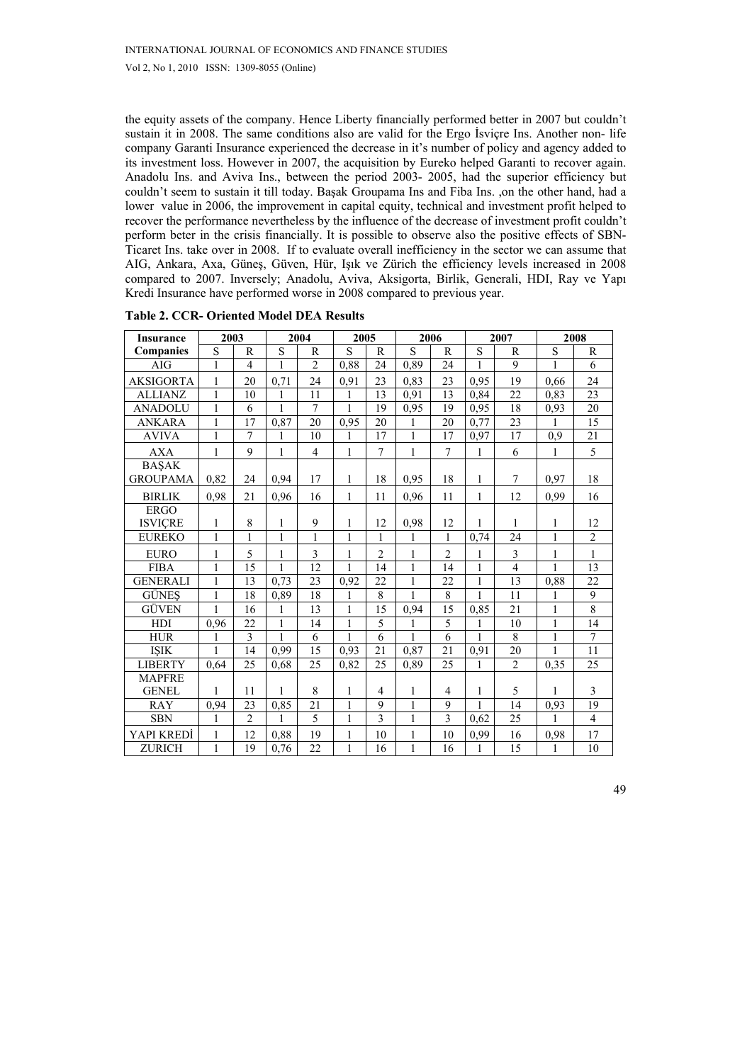the equity assets of the company. Hence Liberty financially performed better in 2007 but couldn't sustain it in 2008. The same conditions also are valid for the Ergo İsviçre Ins. Another non- life company Garanti Insurance experienced the decrease in it's number of policy and agency added to its investment loss. However in 2007, the acquisition by Eureko helped Garanti to recover again. Anadolu Ins. and Aviva Ins., between the period 2003- 2005, had the superior efficiency but couldn't seem to sustain it till today. Başak Groupama Ins and Fiba Ins. ,on the other hand, had a lower value in 2006, the improvement in capital equity, technical and investment profit helped to recover the performance nevertheless by the influence of the decrease of investment profit couldn't perform beter in the crisis financially. It is possible to observe also the positive effects of SBN-Ticaret Ins. take over in 2008. If to evaluate overall inefficiency in the sector we can assume that AIG, Ankara, Axa, Güneş, Güven, Hür, Işık ve Zürich the efficiency levels increased in 2008 compared to 2007. Inversely; Anadolu, Aviva, Aksigorta, Birlik, Generali, HDI, Ray ve Yapı Kredi Insurance have performed worse in 2008 compared to previous year.

| <b>Insurance</b> | 2003         |                          |              | 2004           | 2005         |                |                | 2006           |                | 2007                    |              | 2008             |
|------------------|--------------|--------------------------|--------------|----------------|--------------|----------------|----------------|----------------|----------------|-------------------------|--------------|------------------|
| Companies        | ${\bf S}$    | $\mathbb{R}$             | S            | R              | S            | R              | S              | $\mathsf{R}$   | S              | R                       | S            | R                |
| AIG              | $\mathbf{1}$ | $\overline{\mathcal{L}}$ | $\mathbf{1}$ | $\overline{c}$ | 0,88         | 24             | 0,89           | 24             | $\mathbf{1}$   | 9                       | 1            | 6                |
| <b>AKSIGORTA</b> | 1            | 20                       | 0,71         | 24             | 0,91         | 23             | 0,83           | 23             | 0.95           | 19                      | 0.66         | 24               |
| <b>ALLIANZ</b>   | $\mathbf{1}$ | 10                       | $\mathbf{1}$ | 11             | $\mathbf{1}$ | 13             | 0.91           | 13             | 0.84           | 22                      | 0.83         | 23               |
| <b>ANADOLU</b>   | $\mathbf{1}$ | 6                        | $\mathbf{1}$ | 7              | 1            | 19             | 0,95           | 19             | 0,95           | 18                      | 0,93         | 20               |
| <b>ANKARA</b>    | $\mathbf{1}$ | 17                       | 0,87         | 20             | 0,95         | 20             | 1              | 20             | 0,77           | 23                      |              | $\overline{15}$  |
| <b>AVIVA</b>     | $\mathbf{1}$ | 7                        | 1            | 10             | 1            | 17             | $\mathbf{1}$   | 17             | 0.97           | 17                      | 0,9          | 21               |
| <b>AXA</b>       | $\mathbf{1}$ | 9                        | $\mathbf{1}$ | $\overline{4}$ | 1            | 7              | $\mathbf{1}$   | $\overline{7}$ | 1              | 6                       | $\mathbf{1}$ | 5                |
| <b>BASAK</b>     |              |                          |              |                |              |                |                |                |                |                         |              |                  |
| <b>GROUPAMA</b>  | 0,82         | 24                       | 0,94         | 17             | 1            | 18             | 0,95           | 18             | 1              | $\tau$                  | 0,97         | 18               |
| <b>BIRLIK</b>    | 0,98         | 21                       | 0,96         | 16             | $\mathbf{1}$ | 11             | 0,96           | 11             | 1              | 12                      | 0,99         | 16               |
| <b>ERGO</b>      |              |                          |              |                |              |                |                |                |                |                         |              |                  |
| <b>ISVICRE</b>   | 1            | 8                        | 1            | 9              | 1            | 12             | 0,98           | 12             | 1              | 1                       | 1            | 12               |
| <b>EUREKO</b>    | $\mathbf{1}$ | $\mathbf{1}$             | $\mathbf{1}$ | $\mathbf{1}$   | $\mathbf{1}$ | 1              | 1              | $\mathbf{1}$   | 0.74           | 24                      | $\mathbf{1}$ | $\boldsymbol{2}$ |
| <b>EURO</b>      | 1            | 5                        | 1            | 3              | 1            | $\overline{2}$ | 1              | $\overline{2}$ | 1              | $\overline{\mathbf{3}}$ | $\mathbf{1}$ | $\mathbf{1}$     |
| <b>FIBA</b>      | $\mathbf{1}$ | 15                       | 1            | 12             | 1            | 14             | $\mathbf{1}$   | 14             | $\mathbf{1}$   | $\overline{4}$          | 1            | 13               |
| <b>GENERALI</b>  | 1            | 13                       | 0,73         | 23             | 0,92         | 22             | $\mathbf{1}$   | 22             | $\mathbf{1}$   | 13                      | 0,88         | 22               |
| <b>GÜNES</b>     | $\mathbf{1}$ | 18                       | 0,89         | 18             | $\mathbf{1}$ | 8              | $\overline{1}$ | $\overline{8}$ | $\overline{1}$ | 11                      | 1            | $\overline{9}$   |
| GÜVEN            | $\mathbf{1}$ | 16                       | $\mathbf{1}$ | 13             | 1            | 15             | 0,94           | 15             | 0,85           | 21                      | $\mathbf{1}$ | $\,8\,$          |
| <b>HDI</b>       | 0,96         | 22                       | $\mathbf{1}$ | 14             | 1            | 5              | 1              | 5              | $\mathbf{1}$   | 10                      | $\mathbf{1}$ | 14               |
| <b>HUR</b>       | 1            | 3                        | 1            | 6              | 1            | 6              | 1              | 6              | $\mathbf{1}$   | 8                       | $\mathbf{1}$ | $\tau$           |
| <b>ISIK</b>      | 1            | 14                       | 0,99         | 15             | 0.93         | 21             | 0,87           | 21             | 0,91           | 20                      | 1            | 11               |
| <b>LIBERTY</b>   | 0.64         | 25                       | 0.68         | 25             | 0.82         | 25             | 0.89           | 25             | 1              | $\overline{2}$          | 0.35         | 25               |
| <b>MAPFRE</b>    |              |                          |              |                |              |                |                |                |                |                         |              |                  |
| <b>GENEL</b>     | 1            | 11                       | 1            | 8              | 1            | $\overline{4}$ | 1              | $\overline{4}$ | 1              | 5                       | 1            | 3                |
| <b>RAY</b>       | 0,94         | 23                       | 0,85         | 21             | 1            | 9              | $\mathbf{1}$   | 9              | 1              | 14                      | 0,93         | 19               |
| <b>SBN</b>       | $\mathbf{1}$ | $\overline{2}$           | 1            | 5              | $\mathbf{1}$ | 3              | 1              | $\overline{3}$ | 0,62           | $\overline{25}$         | 1            | $\overline{4}$   |
| YAPI KREDİ       | 1            | 12                       | 0,88         | 19             | $\mathbf{1}$ | 10             | 1              | 10             | 0,99           | 16                      | 0,98         | 17               |
| <b>ZURICH</b>    | $\mathbf{1}$ | 19                       | 0,76         | 22             | $\mathbf{1}$ | 16             | $\mathbf{1}$   | 16             | $\mathbf{1}$   | 15                      | 1            | 10               |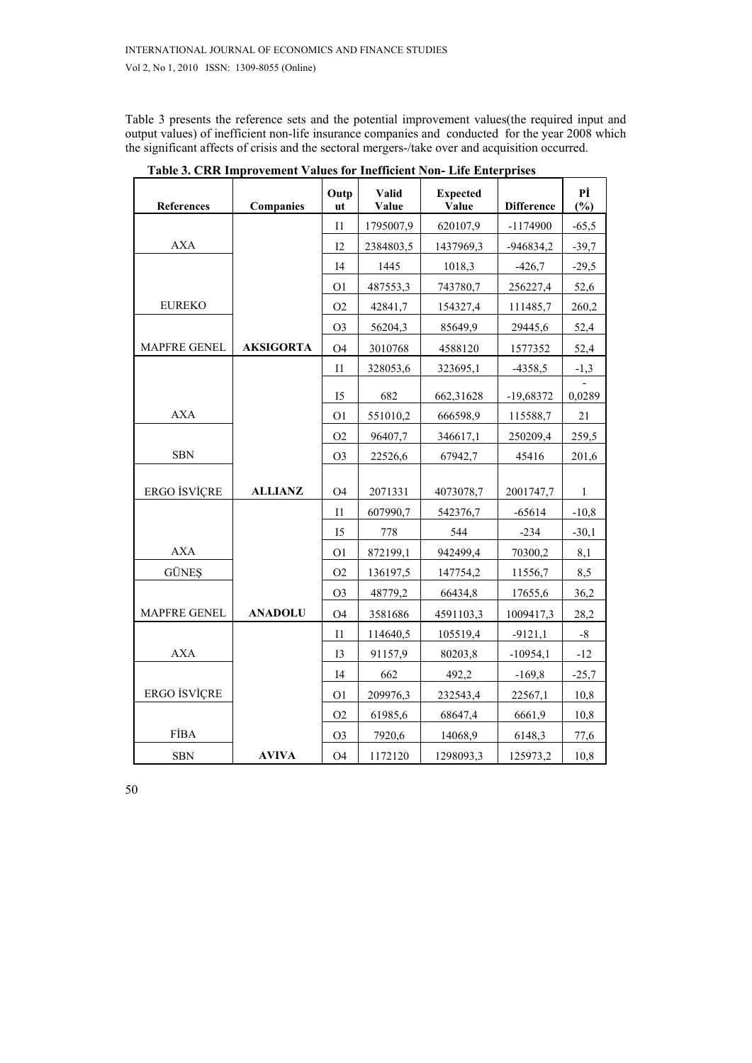Table 3 presents the reference sets and the potential improvement values(the required input and output values) of inefficient non-life insurance companies and conducted for the year 2008 which the significant affects of crisis and the sectoral mergers-/take over and acquisition occurred.

| <b>References</b>   | Companies        | Outp<br>ut     | Valid<br>Value | <b>Expected</b><br>Value | <b>Difference</b> | Pİ<br>(%) |
|---------------------|------------------|----------------|----------------|--------------------------|-------------------|-----------|
|                     |                  | I1             | 1795007,9      | 620107,9                 | $-1174900$        | $-65,5$   |
| <b>AXA</b>          |                  | 12             | 2384803,5      | 1437969,3                | $-946834,2$       | $-39,7$   |
|                     |                  | I <sub>4</sub> | 1445           | 1018,3                   | $-426,7$          | $-29,5$   |
|                     |                  | O <sub>1</sub> | 487553,3       | 743780,7                 | 256227,4          | 52,6      |
| <b>EUREKO</b>       |                  | O2             | 42841,7        | 154327,4                 | 111485,7          | 260,2     |
|                     |                  | O <sub>3</sub> | 56204,3        | 85649,9                  | 29445,6           | 52,4      |
| <b>MAPFRE GENEL</b> | <b>AKSIGORTA</b> | O <sub>4</sub> | 3010768        | 4588120                  | 1577352           | 52,4      |
|                     |                  | I <sub>1</sub> | 328053,6       | 323695,1                 | $-4358,5$         | $-1,3$    |
|                     |                  | I <sub>5</sub> | 682            | 662,31628                | -19,68372         | 0,0289    |
| <b>AXA</b>          |                  | O <sub>1</sub> | 551010,2       | 666598,9                 | 115588,7          | 21        |
|                     |                  | O2             | 96407,7        | 346617,1                 | 250209,4          | 259,5     |
| <b>SBN</b>          |                  | O <sub>3</sub> | 22526,6        | 67942,7                  | 45416             | 201,6     |
| <b>ERGO İSVİÇRE</b> | <b>ALLIANZ</b>   | <b>O4</b>      | 2071331        | 4073078,7                | 2001747,7         | 1         |
|                     |                  | I <sub>1</sub> | 607990,7       | 542376,7                 | $-65614$          | $-10,8$   |
|                     |                  | $I5$           | 778            | 544                      | $-234$            | $-30,1$   |
| <b>AXA</b>          |                  | O <sub>1</sub> | 872199,1       | 942499,4                 | 70300,2           | 8,1       |
| <b>GÜNES</b>        |                  | O2             | 136197,5       | 147754,2                 | 11556,7           | 8,5       |
|                     |                  | O <sub>3</sub> | 48779,2        | 66434,8                  | 17655,6           | 36,2      |
| <b>MAPFRE GENEL</b> | <b>ANADOLU</b>   | O <sub>4</sub> | 3581686        | 4591103,3                | 1009417,3         | 28,2      |
|                     |                  | I <sub>1</sub> | 114640,5       | 105519,4                 | $-9121,1$         | $-8$      |
| <b>AXA</b>          |                  | I <sub>3</sub> | 91157,9        | 80203,8                  | $-10954,1$        | $-12$     |
|                     |                  | I <sub>4</sub> | 662            | 492,2                    | $-169,8$          | $-25,7$   |
| ERGO İSVİÇRE        |                  | O <sub>1</sub> | 209976,3       | 232543,4                 | 22567,1           | 10,8      |
|                     |                  | O2             | 61985,6        | 68647,4                  | 6661,9            | 10,8      |
| <b>FİBA</b>         |                  | O <sub>3</sub> | 7920,6         | 14068,9                  | 6148,3            | 77,6      |
| <b>SBN</b>          | <b>AVIVA</b>     | <b>O4</b>      | 1172120        | 1298093,3                | 125973,2          | 10,8      |

 **Table 3. CRR Improvement Values for Inefficient Non- Life Enterprises**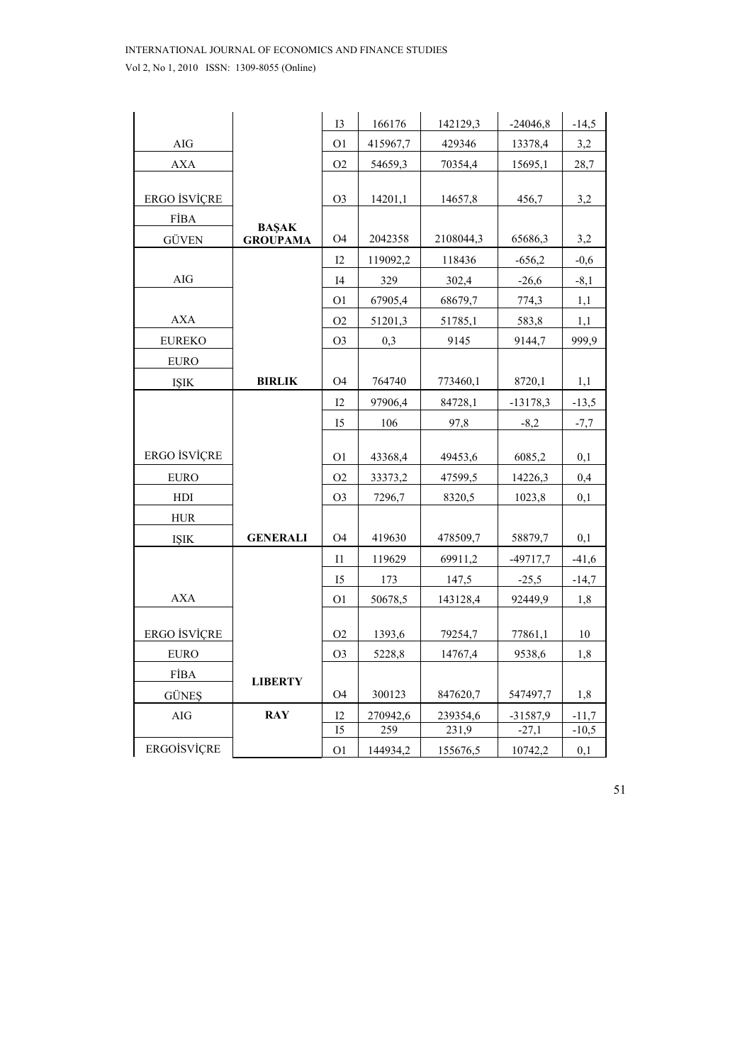|               |                 | <b>I3</b>       | 166176   | 142129,3  | $-24046,8$ | $-14,5$ |
|---------------|-----------------|-----------------|----------|-----------|------------|---------|
| $\rm{AIG}$    |                 | O <sub>1</sub>  | 415967,7 | 429346    | 13378,4    | 3,2     |
| AXA           |                 | O <sub>2</sub>  | 54659,3  | 70354,4   | 15695,1    | 28,7    |
|               |                 |                 |          |           |            |         |
| ERGO İSVİÇRE  |                 | O <sub>3</sub>  | 14201,1  | 14657,8   | 456,7      | 3,2     |
| <b>FİBA</b>   | <b>BAŞAK</b>    |                 |          |           |            |         |
| <b>GÜVEN</b>  | <b>GROUPAMA</b> | <b>O4</b>       | 2042358  | 2108044,3 | 65686,3    | 3,2     |
|               |                 | 12              | 119092,2 | 118436    | $-656,2$   | $-0,6$  |
| AIG           |                 | I4              | 329      | 302,4     | $-26,6$    | $-8,1$  |
|               |                 | O <sub>1</sub>  | 67905,4  | 68679,7   | 774,3      | 1,1     |
| <b>AXA</b>    |                 | O <sub>2</sub>  | 51201,3  | 51785,1   | 583,8      | 1,1     |
| <b>EUREKO</b> |                 | O <sub>3</sub>  | 0,3      | 9145      | 9144,7     | 999,9   |
| <b>EURO</b>   |                 |                 |          |           |            |         |
| <b>ISIK</b>   | <b>BIRLIK</b>   | <b>O4</b>       | 764740   | 773460,1  | 8720,1     | 1,1     |
|               |                 | 12              | 97906,4  | 84728,1   | $-13178,3$ | $-13,5$ |
|               |                 | 15              | 106      | 97,8      | $-8,2$     | $-7,7$  |
|               |                 |                 |          |           |            |         |
| ERGO İSVİÇRE  |                 | O <sub>1</sub>  | 43368,4  | 49453,6   | 6085,2     | 0,1     |
| <b>EURO</b>   |                 | O2              | 33373,2  | 47599,5   | 14226,3    | 0,4     |
| HDI           |                 | O <sub>3</sub>  | 7296,7   | 8320,5    | 1023,8     | 0,1     |
| <b>HUR</b>    |                 |                 |          |           |            |         |
| <b>ISIK</b>   | <b>GENERALI</b> | <b>O4</b>       | 419630   | 478509,7  | 58879,7    | 0,1     |
|               |                 | $\mathbf{I}1$   | 119629   | 69911,2   | $-49717,7$ | $-41,6$ |
|               |                 | 15              | 173      | 147,5     | $-25,5$    | $-14,7$ |
| <b>AXA</b>    |                 | O <sub>1</sub>  | 50678,5  | 143128,4  | 92449,9    | 1,8     |
|               |                 |                 |          |           |            |         |
| ERGO İSVİÇRE  |                 | O <sub>2</sub>  | 1393,6   | 79254,7   | 77861,1    | 10      |
| <b>EURO</b>   |                 | O <sub>3</sub>  | 5228,8   | 14767,4   | 9538,6     | 1,8     |
| <b>FİBA</b>   | <b>LIBERTY</b>  |                 |          |           |            |         |
| <b>GÜNES</b>  |                 | <b>O4</b>       | 300123   | 847620,7  | 547497,7   | 1,8     |
| AIG           | <b>RAY</b>      | 12              | 270942,6 | 239354,6  | $-31587,9$ | $-11,7$ |
|               |                 | $\overline{15}$ | 259      | 231,9     | $-27,1$    | $-10,5$ |
| ERGOİSVİÇRE   |                 | O <sub>1</sub>  | 144934,2 | 155676,5  | 10742,2    | 0,1     |

51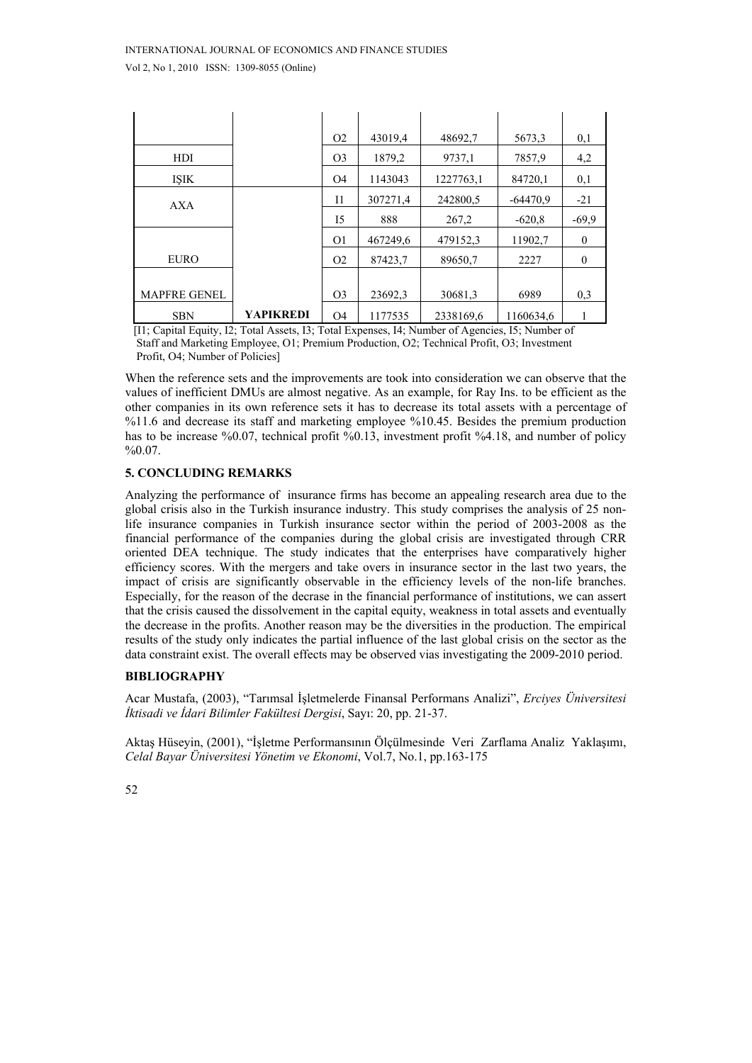|                     |                  | O <sub>2</sub> | 43019,4  | 48692,7   | 5673,3     | 0,1            |
|---------------------|------------------|----------------|----------|-----------|------------|----------------|
| HDI                 |                  | O <sub>3</sub> | 1879,2   | 9737,1    | 7857,9     | 4,2            |
| <b>ISIK</b>         |                  | O <sub>4</sub> | 1143043  | 1227763,1 | 84720,1    | 0,1            |
| AXA                 |                  | $_{11}$        | 307271,4 | 242800.5  | $-64470.9$ | $-21$          |
|                     |                  | 15             | 888      | 267,2     | $-620.8$   | $-69.9$        |
|                     |                  | O <sub>1</sub> | 467249,6 | 479152,3  | 11902,7    | $\theta$       |
| <b>EURO</b>         |                  | O <sub>2</sub> | 87423,7  | 89650,7   | 2227       | $\overline{0}$ |
|                     |                  |                |          |           |            |                |
| <b>MAPFRE GENEL</b> |                  | O <sub>3</sub> | 23692,3  | 30681,3   | 6989       | 0,3            |
| <b>SBN</b>          | <b>YAPIKREDI</b> | <b>O4</b>      | 1177535  | 2338169.6 | 1160634.6  |                |

 [I1; Capital Equity, I2; Total Assets, I3; Total Expenses, I4; Number of Agencies, I5; Number of Staff and Marketing Employee, O1; Premium Production, O2; Technical Profit, O3; Investment Profit, O4; Number of Policies]

When the reference sets and the improvements are took into consideration we can observe that the values of inefficient DMUs are almost negative. As an example, for Ray Ins. to be efficient as the other companies in its own reference sets it has to decrease its total assets with a percentage of %11.6 and decrease its staff and marketing employee %10.45. Besides the premium production has to be increase %0.07, technical profit %0.13, investment profit %4.18, and number of policy  $%0.07.$ 

# **5. CONCLUDING REMARKS**

Analyzing the performance of insurance firms has become an appealing research area due to the global crisis also in the Turkish insurance industry. This study comprises the analysis of 25 nonlife insurance companies in Turkish insurance sector within the period of 2003-2008 as the financial performance of the companies during the global crisis are investigated through CRR oriented DEA technique. The study indicates that the enterprises have comparatively higher efficiency scores. With the mergers and take overs in insurance sector in the last two years, the impact of crisis are significantly observable in the efficiency levels of the non-life branches. Especially, for the reason of the decrase in the financial performance of institutions, we can assert that the crisis caused the dissolvement in the capital equity, weakness in total assets and eventually the decrease in the profits. Another reason may be the diversities in the production. The empirical results of the study only indicates the partial influence of the last global crisis on the sector as the data constraint exist. The overall effects may be observed vias investigating the 2009-2010 period.

## **BIBLIOGRAPHY**

Acar Mustafa, (2003), "Tarımsal İşletmelerde Finansal Performans Analizi", *Erciyes Üniversitesi İktisadi ve İdari Bilimler Fakültesi Dergisi*, Sayı: 20, pp. 21-37.

Aktaş Hüseyin, (2001), "İşletme Performansının Ölçülmesinde Veri Zarflama Analiz Yaklaşımı, *Celal Bayar Üniversitesi Yönetim ve Ekonomi*, Vol.7, No.1, pp.163-175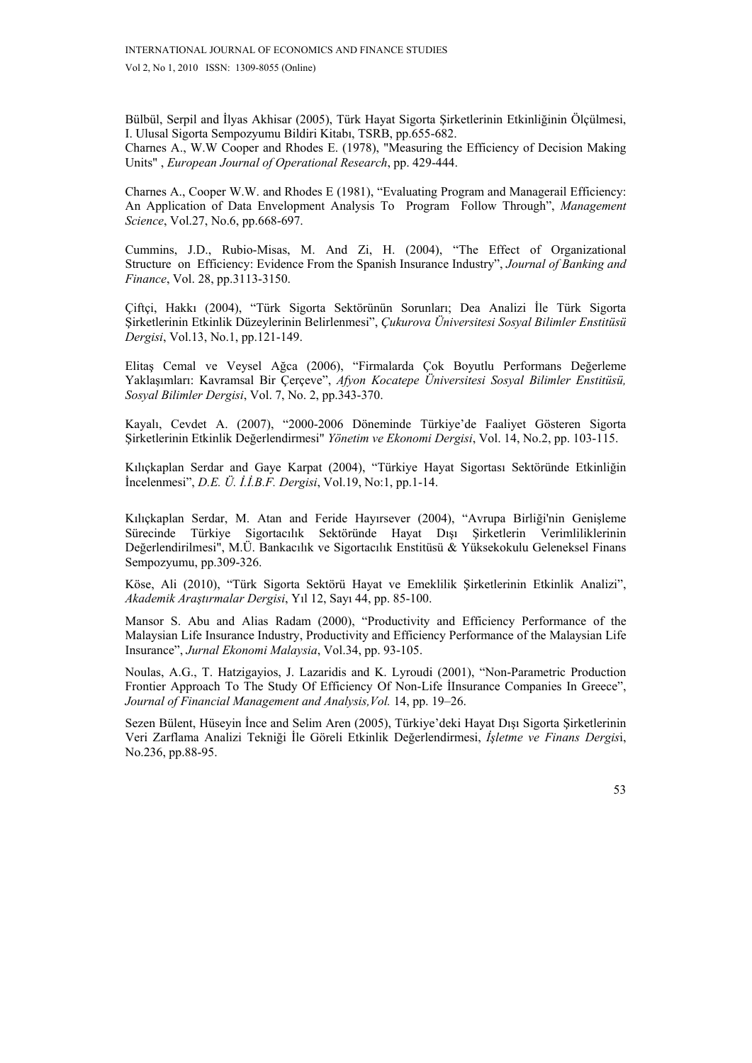Bülbül, Serpil and İlyas Akhisar (2005), Türk Hayat Sigorta Şirketlerinin Etkinliğinin Ölçülmesi, I. Ulusal Sigorta Sempozyumu Bildiri Kitabı, TSRB, pp.655-682.

Charnes A., W.W Cooper and Rhodes E. (1978), "Measuring the Efficiency of Decision Making Units" , *European Journal of Operational Research*, pp. 429-444.

Charnes A., Cooper W.W. and Rhodes E (1981), "Evaluating Program and Managerail Efficiency: An Application of Data Envelopment Analysis To Program Follow Through", *Management Science*, Vol.27, No.6, pp.668-697.

Cummins, J.D., Rubio-Misas, M. And Zi, H. (2004), "The Effect of Organizational Structure on Efficiency: Evidence From the Spanish Insurance Industry", *Journal of Banking and Finance*, Vol. 28, pp.3113-3150.

Çiftçi, Hakkı (2004), "Türk Sigorta Sektörünün Sorunları; Dea Analizi İle Türk Sigorta Şirketlerinin Etkinlik Düzeylerinin Belirlenmesi", *Çukurova Üniversitesi Sosyal Bilimler Enstitüsü Dergisi*, Vol.13, No.1, pp.121-149.

Elitaş Cemal ve Veysel Ağca (2006), "Firmalarda Çok Boyutlu Performans Değerleme Yaklaşımları: Kavramsal Bir Çerçeve", *Afyon Kocatepe Üniversitesi Sosyal Bilimler Enstitüsü, Sosyal Bilimler Dergisi*, Vol. 7, No. 2, pp.343-370.

Kayalı, Cevdet A. (2007), "2000-2006 Döneminde Türkiye'de Faaliyet Gösteren Sigorta Şirketlerinin Etkinlik Değerlendirmesi" *Yönetim ve Ekonomi Dergisi*, Vol. 14, No.2, pp. 103-115.

Kılıçkaplan Serdar and Gaye Karpat (2004), "Türkiye Hayat Sigortası Sektöründe Etkinliğin İncelenmesi", *D.E. Ü. İ.İ.B.F. Dergisi*, Vol.19, No:1, pp.1-14.

Kılıçkaplan Serdar, M. Atan and Feride Hayırsever (2004), "Avrupa Birliği'nin Genişleme Sürecinde Türkiye Sigortacılık Sektöründe Hayat Dışı Şirketlerin Verimliliklerinin Değerlendirilmesi", M.Ü. Bankacılık ve Sigortacılık Enstitüsü & Yüksekokulu Geleneksel Finans Sempozyumu, pp.309-326.

Köse, Ali (2010), "Türk Sigorta Sektörü Hayat ve Emeklilik Şirketlerinin Etkinlik Analizi", *Akademik Araştırmalar Dergisi*, Yıl 12, Sayı 44, pp. 85-100.

Mansor S. Abu and Alias Radam (2000), "Productivity and Efficiency Performance of the Malaysian Life Insurance Industry, Productivity and Efficiency Performance of the Malaysian Life Insurance", *Jurnal Ekonomi Malaysia*, Vol.34, pp. 93-105.

Noulas, A.G., T. Hatzigayios, J. Lazaridis and K. Lyroudi (2001), "Non-Parametric Production Frontier Approach To The Study Of Efficiency Of Non-Life İInsurance Companies In Greece", *Journal of Financial Management and Analysis,Vol.* 14, pp. 19–26.

Sezen Bülent, Hüseyin İnce and Selim Aren (2005), Türkiye'deki Hayat Dışı Sigorta Şirketlerinin Veri Zarflama Analizi Tekniği İle Göreli Etkinlik Değerlendirmesi, *İşletme ve Finans Dergis*i, No.236, pp.88-95.